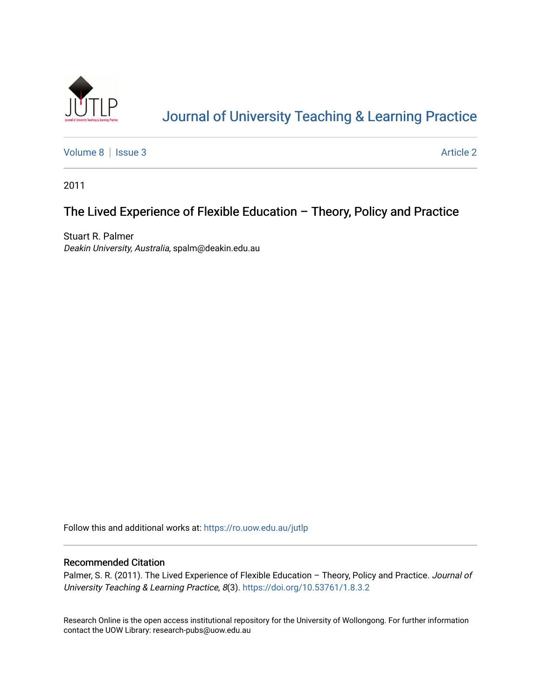

# [Journal of University Teaching & Learning Practice](https://ro.uow.edu.au/jutlp)

[Volume 8](https://ro.uow.edu.au/jutlp/vol8) | [Issue 3](https://ro.uow.edu.au/jutlp/vol8/iss3) Article 2

2011

## The Lived Experience of Flexible Education – Theory, Policy and Practice

Stuart R. Palmer Deakin University, Australia, spalm@deakin.edu.au

Follow this and additional works at: [https://ro.uow.edu.au/jutlp](https://ro.uow.edu.au/jutlp?utm_source=ro.uow.edu.au%2Fjutlp%2Fvol8%2Fiss3%2F2&utm_medium=PDF&utm_campaign=PDFCoverPages) 

### Recommended Citation

Palmer, S. R. (2011). The Lived Experience of Flexible Education - Theory, Policy and Practice. Journal of University Teaching & Learning Practice, 8(3). <https://doi.org/10.53761/1.8.3.2>

Research Online is the open access institutional repository for the University of Wollongong. For further information contact the UOW Library: research-pubs@uow.edu.au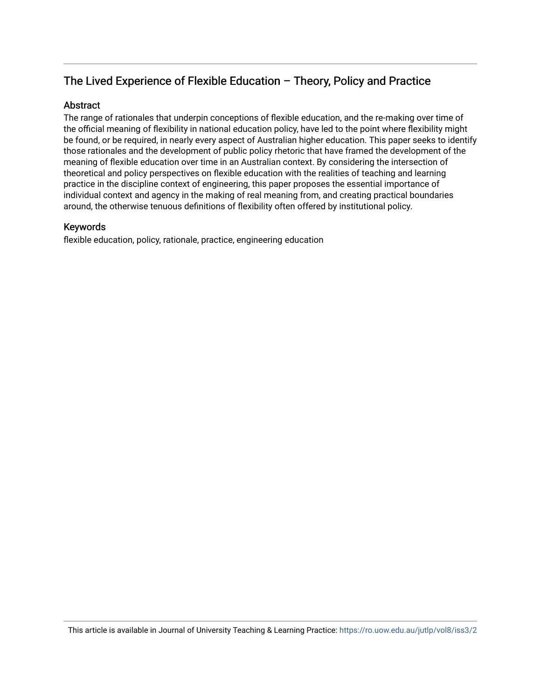## The Lived Experience of Flexible Education – Theory, Policy and Practice

## **Abstract**

The range of rationales that underpin conceptions of flexible education, and the re-making over time of the official meaning of flexibility in national education policy, have led to the point where flexibility might be found, or be required, in nearly every aspect of Australian higher education. This paper seeks to identify those rationales and the development of public policy rhetoric that have framed the development of the meaning of flexible education over time in an Australian context. By considering the intersection of theoretical and policy perspectives on flexible education with the realities of teaching and learning practice in the discipline context of engineering, this paper proposes the essential importance of individual context and agency in the making of real meaning from, and creating practical boundaries around, the otherwise tenuous definitions of flexibility often offered by institutional policy.

### Keywords

flexible education, policy, rationale, practice, engineering education

This article is available in Journal of University Teaching & Learning Practice:<https://ro.uow.edu.au/jutlp/vol8/iss3/2>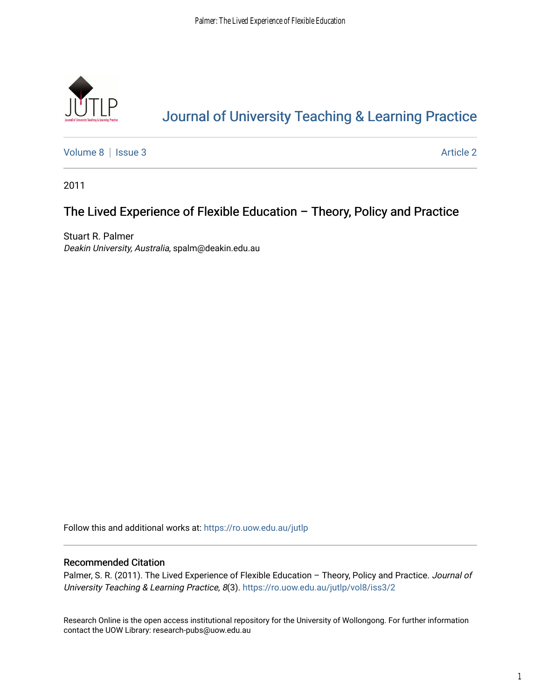

# [Journal of University Teaching & Learning Practice](https://ro.uow.edu.au/jutlp)

[Volume 8](https://ro.uow.edu.au/jutlp/vol8) | [Issue 3](https://ro.uow.edu.au/jutlp/vol8/iss3) Article 2

2011

## The Lived Experience of Flexible Education – Theory, Policy and Practice

Stuart R. Palmer Deakin University, Australia, spalm@deakin.edu.au

Follow this and additional works at: [https://ro.uow.edu.au/jutlp](https://ro.uow.edu.au/jutlp?utm_source=ro.uow.edu.au%2Fjutlp%2Fvol8%2Fiss3%2F2&utm_medium=PDF&utm_campaign=PDFCoverPages) 

## Recommended Citation

Palmer, S. R. (2011). The Lived Experience of Flexible Education - Theory, Policy and Practice. Journal of University Teaching & Learning Practice, 8(3). [https://ro.uow.edu.au/jutlp/vol8/iss3/2](https://ro.uow.edu.au/jutlp/vol8/iss3/2?utm_source=ro.uow.edu.au%2Fjutlp%2Fvol8%2Fiss3%2F2&utm_medium=PDF&utm_campaign=PDFCoverPages) 

Research Online is the open access institutional repository for the University of Wollongong. For further information contact the UOW Library: research-pubs@uow.edu.au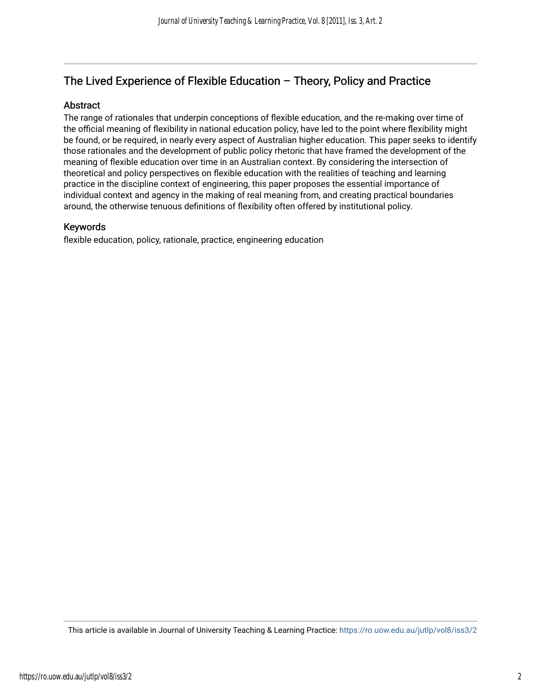## The Lived Experience of Flexible Education – Theory, Policy and Practice

### Abstract

The range of rationales that underpin conceptions of flexible education, and the re-making over time of the official meaning of flexibility in national education policy, have led to the point where flexibility might be found, or be required, in nearly every aspect of Australian higher education. This paper seeks to identify those rationales and the development of public policy rhetoric that have framed the development of the meaning of flexible education over time in an Australian context. By considering the intersection of theoretical and policy perspectives on flexible education with the realities of teaching and learning practice in the discipline context of engineering, this paper proposes the essential importance of individual context and agency in the making of real meaning from, and creating practical boundaries around, the otherwise tenuous definitions of flexibility often offered by institutional policy.

### Keywords

flexible education, policy, rationale, practice, engineering education

This article is available in Journal of University Teaching & Learning Practice:<https://ro.uow.edu.au/jutlp/vol8/iss3/2>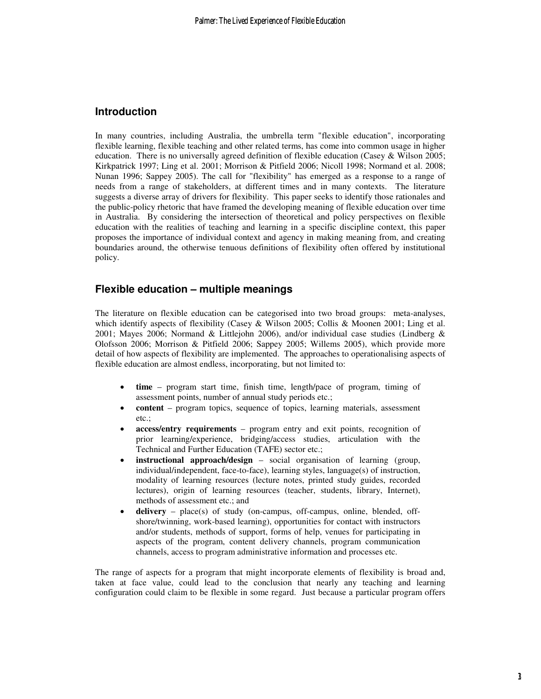#### **Introduction**

In many countries, including Australia, the umbrella term "flexible education", incorporating flexible learning, flexible teaching and other related terms, has come into common usage in higher education. There is no universally agreed definition of flexible education (Casey & Wilson 2005; Kirkpatrick 1997; Ling et al. 2001; Morrison & Pitfield 2006; Nicoll 1998; Normand et al. 2008; Nunan 1996; Sappey 2005). The call for "flexibility" has emerged as a response to a range of needs from a range of stakeholders, at different times and in many contexts. The literature suggests a diverse array of drivers for flexibility. This paper seeks to identify those rationales and the public-policy rhetoric that have framed the developing meaning of flexible education over time in Australia. By considering the intersection of theoretical and policy perspectives on flexible education with the realities of teaching and learning in a specific discipline context, this paper proposes the importance of individual context and agency in making meaning from, and creating boundaries around, the otherwise tenuous definitions of flexibility often offered by institutional policy.

### **Flexible education – multiple meanings**

The literature on flexible education can be categorised into two broad groups: meta-analyses, which identify aspects of flexibility (Casey & Wilson 2005; Collis & Moonen 2001; Ling et al. 2001; Mayes 2006; Normand & Littlejohn 2006), and/or individual case studies (Lindberg & Olofsson 2006; Morrison & Pitfield 2006; Sappey 2005; Willems 2005), which provide more detail of how aspects of flexibility are implemented. The approaches to operationalising aspects of flexible education are almost endless, incorporating, but not limited to:

- **time** program start time, finish time, length/pace of program, timing of assessment points, number of annual study periods etc.;
- **content** program topics, sequence of topics, learning materials, assessment etc.;
- **access/entry requirements** program entry and exit points, recognition of prior learning/experience, bridging/access studies, articulation with the Technical and Further Education (TAFE) sector etc.;
- **instructional approach/design** social organisation of learning (group, individual/independent, face-to-face), learning styles, language(s) of instruction, modality of learning resources (lecture notes, printed study guides, recorded lectures), origin of learning resources (teacher, students, library, Internet), methods of assessment etc.; and
- **delivery** place(s) of study (on-campus, off-campus, online, blended, offshore/twinning, work-based learning), opportunities for contact with instructors and/or students, methods of support, forms of help, venues for participating in aspects of the program, content delivery channels, program communication channels, access to program administrative information and processes etc.

The range of aspects for a program that might incorporate elements of flexibility is broad and, taken at face value, could lead to the conclusion that nearly any teaching and learning configuration could claim to be flexible in some regard. Just because a particular program offers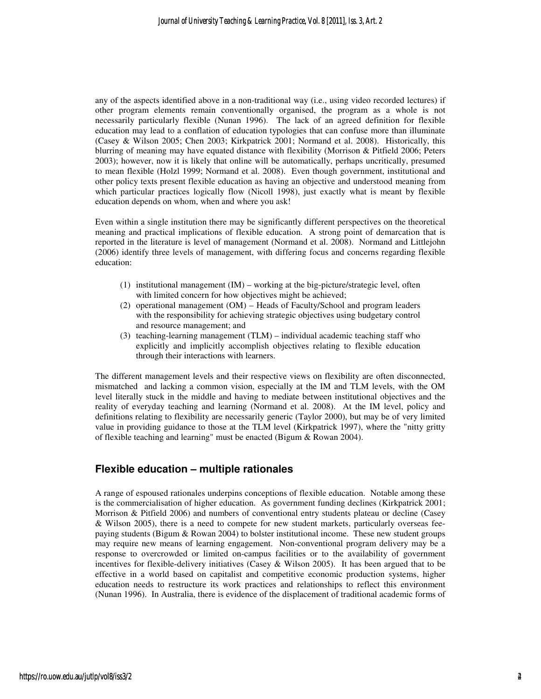any of the aspects identified above in a non-traditional way (i.e., using video recorded lectures) if other program elements remain conventionally organised, the program as a whole is not necessarily particularly flexible (Nunan 1996). The lack of an agreed definition for flexible education may lead to a conflation of education typologies that can confuse more than illuminate (Casey & Wilson 2005; Chen 2003; Kirkpatrick 2001; Normand et al. 2008). Historically, this blurring of meaning may have equated distance with flexibility (Morrison & Pitfield 2006; Peters 2003); however, now it is likely that online will be automatically, perhaps uncritically, presumed to mean flexible (Holzl 1999; Normand et al. 2008). Even though government, institutional and other policy texts present flexible education as having an objective and understood meaning from which particular practices logically flow (Nicoll 1998), just exactly what is meant by flexible education depends on whom, when and where you ask!

Even within a single institution there may be significantly different perspectives on the theoretical meaning and practical implications of flexible education. A strong point of demarcation that is reported in the literature is level of management (Normand et al. 2008). Normand and Littlejohn (2006) identify three levels of management, with differing focus and concerns regarding flexible education:

- (1) institutional management (IM) working at the big-picture/strategic level, often with limited concern for how objectives might be achieved;
- (2) operational management (OM) Heads of Faculty/School and program leaders with the responsibility for achieving strategic objectives using budgetary control and resource management; and
- (3) teaching-learning management (TLM) individual academic teaching staff who explicitly and implicitly accomplish objectives relating to flexible education through their interactions with learners.

The different management levels and their respective views on flexibility are often disconnected, mismatched and lacking a common vision, especially at the IM and TLM levels, with the OM level literally stuck in the middle and having to mediate between institutional objectives and the reality of everyday teaching and learning (Normand et al. 2008). At the IM level, policy and definitions relating to flexibility are necessarily generic (Taylor 2000), but may be of very limited value in providing guidance to those at the TLM level (Kirkpatrick 1997), where the "nitty gritty of flexible teaching and learning" must be enacted (Bigum & Rowan 2004).

#### **Flexible education – multiple rationales**

A range of espoused rationales underpins conceptions of flexible education. Notable among these is the commercialisation of higher education. As government funding declines (Kirkpatrick 2001; Morrison & Pitfield 2006) and numbers of conventional entry students plateau or decline (Casey & Wilson 2005), there is a need to compete for new student markets, particularly overseas feepaying students (Bigum & Rowan 2004) to bolster institutional income. These new student groups may require new means of learning engagement. Non-conventional program delivery may be a response to overcrowded or limited on-campus facilities or to the availability of government incentives for flexible-delivery initiatives (Casey & Wilson 2005). It has been argued that to be effective in a world based on capitalist and competitive economic production systems, higher education needs to restructure its work practices and relationships to reflect this environment (Nunan 1996). In Australia, there is evidence of the displacement of traditional academic forms of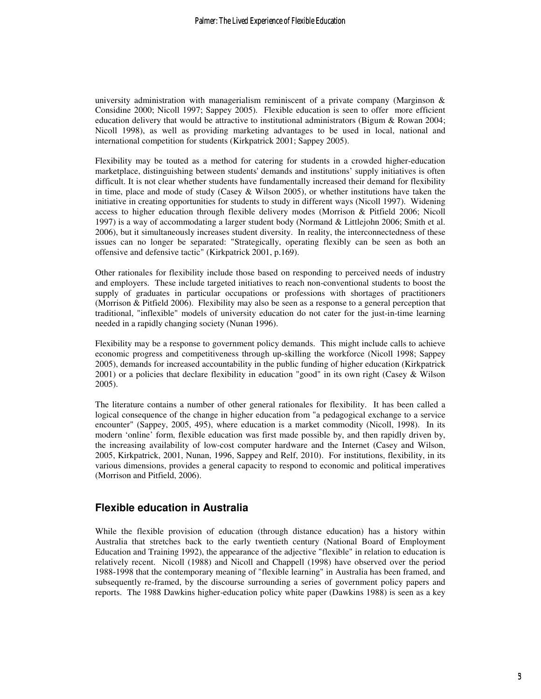university administration with managerialism reminiscent of a private company (Marginson  $\&$ Considine 2000; Nicoll 1997; Sappey 2005). Flexible education is seen to offer more efficient education delivery that would be attractive to institutional administrators (Bigum & Rowan 2004; Nicoll 1998), as well as providing marketing advantages to be used in local, national and international competition for students (Kirkpatrick 2001; Sappey 2005).

Flexibility may be touted as a method for catering for students in a crowded higher-education marketplace, distinguishing between students' demands and institutions' supply initiatives is often difficult. It is not clear whether students have fundamentally increased their demand for flexibility in time, place and mode of study (Casey & Wilson 2005), or whether institutions have taken the initiative in creating opportunities for students to study in different ways (Nicoll 1997). Widening access to higher education through flexible delivery modes (Morrison & Pitfield 2006; Nicoll 1997) is a way of accommodating a larger student body (Normand & Littlejohn 2006; Smith et al. 2006), but it simultaneously increases student diversity. In reality, the interconnectedness of these issues can no longer be separated: "Strategically, operating flexibly can be seen as both an offensive and defensive tactic" (Kirkpatrick 2001, p.169).

Other rationales for flexibility include those based on responding to perceived needs of industry and employers. These include targeted initiatives to reach non-conventional students to boost the supply of graduates in particular occupations or professions with shortages of practitioners (Morrison & Pitfield 2006). Flexibility may also be seen as a response to a general perception that traditional, "inflexible" models of university education do not cater for the just-in-time learning needed in a rapidly changing society (Nunan 1996).

Flexibility may be a response to government policy demands. This might include calls to achieve economic progress and competitiveness through up-skilling the workforce (Nicoll 1998; Sappey 2005), demands for increased accountability in the public funding of higher education (Kirkpatrick 2001) or a policies that declare flexibility in education "good" in its own right (Casey & Wilson 2005).

The literature contains a number of other general rationales for flexibility. It has been called a logical consequence of the change in higher education from "a pedagogical exchange to a service encounter" (Sappey, 2005, 495), where education is a market commodity (Nicoll, 1998). In its modern 'online' form, flexible education was first made possible by, and then rapidly driven by, the increasing availability of low-cost computer hardware and the Internet (Casey and Wilson, 2005, Kirkpatrick, 2001, Nunan, 1996, Sappey and Relf, 2010). For institutions, flexibility, in its various dimensions, provides a general capacity to respond to economic and political imperatives (Morrison and Pitfield, 2006).

## **Flexible education in Australia**

While the flexible provision of education (through distance education) has a history within Australia that stretches back to the early twentieth century (National Board of Employment Education and Training 1992), the appearance of the adjective "flexible" in relation to education is relatively recent. Nicoll (1988) and Nicoll and Chappell (1998) have observed over the period 1988-1998 that the contemporary meaning of "flexible learning" in Australia has been framed, and subsequently re-framed, by the discourse surrounding a series of government policy papers and reports. The 1988 Dawkins higher-education policy white paper (Dawkins 1988) is seen as a key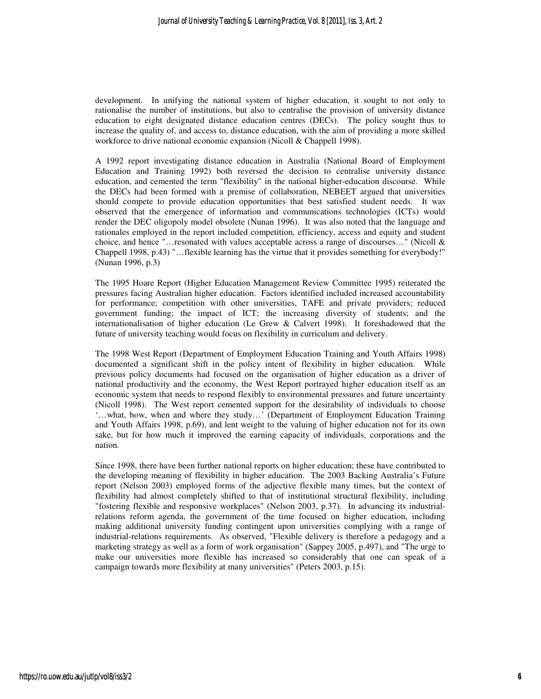development. In unifying the national system of higher education, it sought to not only to rationalise the number of institutions, but also to centralise the provision of university distance education to eight designated distance education centres (DECs). The policy sought thus to increase the quality of, and access to, distance education, with the aim of providing a more skilled workforce to drive national economic expansion (Nicoll & Chappell 1998).

A 1992 report investigating distance education in Australia (National Board of Employment Education and Training 1992) both reversed the decision to centralise university distance education, and cemented the term "flexibility" in the national higher-education discourse. While the DECs had been formed with a premise of collaboration, NEBEET argued that universities should compete to provide education opportunities that best satisfied student needs. It was observed that the emergence of information and communications technologies (ICTs) would render the DEC oligopoly model obsolete (Nunan 1996). It was also noted that the language and rationales employed in the report included competition, efficiency, access and equity and student choice, and hence "…resonated with values acceptable across a range of discourses…" (Nicoll & Chappell 1998, p.43) "…flexible learning has the virtue that it provides something for everybody!" (Nunan 1996, p.3)

The 1995 Hoare Report (Higher Education Management Review Committee 1995) reiterated the pressures facing Australian higher education. Factors identified included increased accountability for performance; competition with other universities, TAFE and private providers; reduced government funding; the impact of ICT; the increasing diversity of students; and the internationalisation of higher education (Le Grew & Calvert 1998). It foreshadowed that the future of university teaching would focus on flexibility in curriculum and delivery.

The 1998 West Report (Department of Employment Education Training and Youth Affairs 1998) documented a significant shift in the policy intent of flexibility in higher education. While previous policy documents had focused on the organisation of higher education as a driver of national productivity and the economy, the West Report portrayed higher education itself as an economic system that needs to respond flexibly to environmental pressures and future uncertainty (Nicoll 1998). The West report cemented support for the desirability of individuals to choose '…what, how, when and where they study…' (Department of Employment Education Training and Youth Affairs 1998, p.69), and lent weight to the valuing of higher education not for its own sake, but for how much it improved the earning capacity of individuals, corporations and the nation.

Since 1998, there have been further national reports on higher education; these have contributed to the developing meaning of flexibility in higher education. The 2003 Backing Australia's Future report (Nelson 2003) employed forms of the adjective flexible many times, but the context of flexibility had almost completely shifted to that of institutional structural flexibility, including "fostering flexible and responsive workplaces" (Nelson 2003, p.37). In advancing its industrialrelations reform agenda, the government of the time focused on higher education, including making additional university funding contingent upon universities complying with a range of industrial-relations requirements. As observed, "Flexible delivery is therefore a pedagogy and a marketing strategy as well as a form of work organisation" (Sappey 2005, p.497), and "The urge to make our universities more flexible has increased so considerably that one can speak of a campaign towards more flexibility at many universities" (Peters 2003, p.15).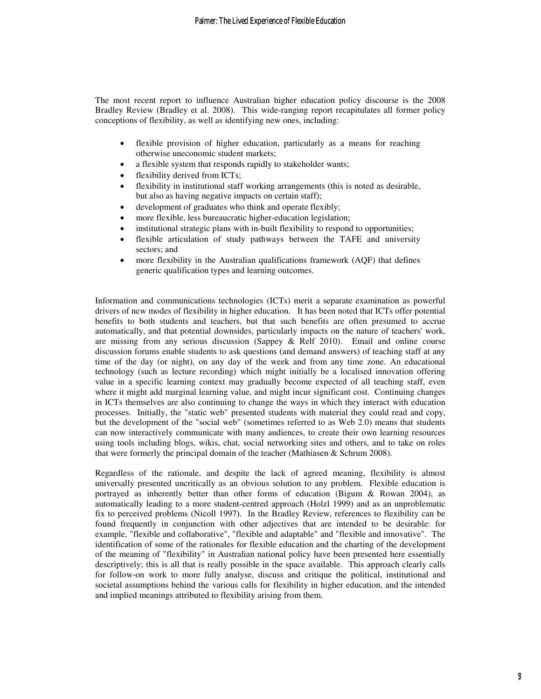The most recent report to influence Australian higher education policy discourse is the 2008 Bradley Review (Bradley et al. 2008). This wide-ranging report recapitulates all former policy conceptions of flexibility, as well as identifying new ones, including:

- flexible provision of higher education, particularly as a means for reaching otherwise uneconomic student markets;
- a flexible system that responds rapidly to stakeholder wants;
- flexibility derived from ICTs;
- flexibility in institutional staff working arrangements (this is noted as desirable, but also as having negative impacts on certain staff);
- development of graduates who think and operate flexibly;
- more flexible, less bureaucratic higher-education legislation;
- institutional strategic plans with in-built flexibility to respond to opportunities;
- flexible articulation of study pathways between the TAFE and university sectors; and
- more flexibility in the Australian qualifications framework (AQF) that defines generic qualification types and learning outcomes.

Information and communications technologies (ICTs) merit a separate examination as powerful drivers of new modes of flexibility in higher education. It has been noted that ICTs offer potential benefits to both students and teachers, but that such benefits are often presumed to accrue automatically, and that potential downsides, particularly impacts on the nature of teachers' work, are missing from any serious discussion (Sappey & Relf 2010). Email and online course discussion forums enable students to ask questions (and demand answers) of teaching staff at any time of the day (or night), on any day of the week and from any time zone. An educational technology (such as lecture recording) which might initially be a localised innovation offering value in a specific learning context may gradually become expected of all teaching staff, even where it might add marginal learning value, and might incur significant cost. Continuing changes in ICTs themselves are also continuing to change the ways in which they interact with education processes. Initially, the "static web" presented students with material they could read and copy, but the development of the "social web" (sometimes referred to as Web 2.0) means that students can now interactively communicate with many audiences, to create their own learning resources using tools including blogs, wikis, chat, social networking sites and others, and to take on roles that were formerly the principal domain of the teacher (Mathiasen & Schrum 2008).

Regardless of the rationale, and despite the lack of agreed meaning, flexibility is almost universally presented uncritically as an obvious solution to any problem. Flexible education is portrayed as inherently better than other forms of education (Bigum & Rowan 2004), as automatically leading to a more student-centred approach (Holzl 1999) and as an unproblematic fix to perceived problems (Nicoll 1997). In the Bradley Review, references to flexibility can be found frequently in conjunction with other adjectives that are intended to be desirable: for example, "flexible and collaborative", "flexible and adaptable" and "flexible and innovative". The identification of some of the rationales for flexible education and the charting of the development of the meaning of "flexibility" in Australian national policy have been presented here essentially descriptively; this is all that is really possible in the space available. This approach clearly calls for follow-on work to more fully analyse, discuss and critique the political, institutional and societal assumptions behind the various calls for flexibility in higher education, and the intended and implied meanings attributed to flexibility arising from them.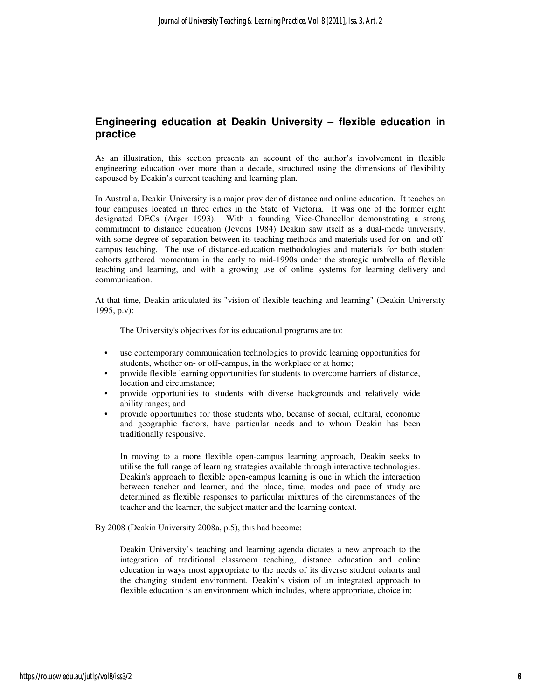## **Engineering education at Deakin University – flexible education in practice**

As an illustration, this section presents an account of the author's involvement in flexible engineering education over more than a decade, structured using the dimensions of flexibility espoused by Deakin's current teaching and learning plan.

In Australia, Deakin University is a major provider of distance and online education. It teaches on four campuses located in three cities in the State of Victoria. It was one of the former eight designated DECs (Arger 1993). With a founding Vice-Chancellor demonstrating a strong commitment to distance education (Jevons 1984) Deakin saw itself as a dual-mode university, with some degree of separation between its teaching methods and materials used for on- and offcampus teaching. The use of distance-education methodologies and materials for both student cohorts gathered momentum in the early to mid-1990s under the strategic umbrella of flexible teaching and learning, and with a growing use of online systems for learning delivery and communication.

At that time, Deakin articulated its "vision of flexible teaching and learning" (Deakin University 1995, p.v):

The University's objectives for its educational programs are to:

- use contemporary communication technologies to provide learning opportunities for students, whether on- or off-campus, in the workplace or at home;
- provide flexible learning opportunities for students to overcome barriers of distance, location and circumstance;
- provide opportunities to students with diverse backgrounds and relatively wide ability ranges; and
- provide opportunities for those students who, because of social, cultural, economic and geographic factors, have particular needs and to whom Deakin has been traditionally responsive.

In moving to a more flexible open-campus learning approach, Deakin seeks to utilise the full range of learning strategies available through interactive technologies. Deakin's approach to flexible open-campus learning is one in which the interaction between teacher and learner, and the place, time, modes and pace of study are determined as flexible responses to particular mixtures of the circumstances of the teacher and the learner, the subject matter and the learning context.

By 2008 (Deakin University 2008a, p.5), this had become:

Deakin University's teaching and learning agenda dictates a new approach to the integration of traditional classroom teaching, distance education and online education in ways most appropriate to the needs of its diverse student cohorts and the changing student environment. Deakin's vision of an integrated approach to flexible education is an environment which includes, where appropriate, choice in: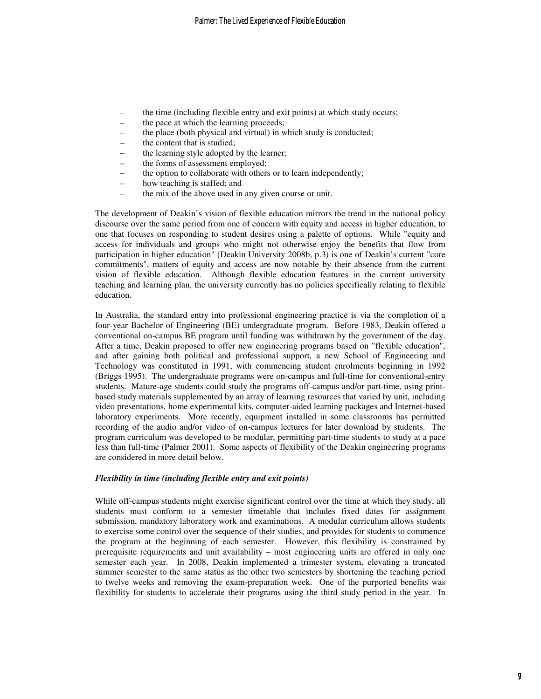- the time (including flexible entry and exit points) at which study occurs;
- the pace at which the learning proceeds;
- the place (both physical and virtual) in which study is conducted;
- the content that is studied;
- the learning style adopted by the learner;
- the forms of assessment employed;
	- the option to collaborate with others or to learn independently;
- how teaching is staffed; and
- the mix of the above used in any given course or unit.

The development of Deakin's vision of flexible education mirrors the trend in the national policy discourse over the same period from one of concern with equity and access in higher education, to one that focuses on responding to student desires using a palette of options. While "equity and access for individuals and groups who might not otherwise enjoy the benefits that flow from participation in higher education" (Deakin University 2008b, p.3) is one of Deakin's current "core commitments", matters of equity and access are now notable by their absence from the current vision of flexible education. Although flexible education features in the current university teaching and learning plan, the university currently has no policies specifically relating to flexible education.

In Australia, the standard entry into professional engineering practice is via the completion of a four-year Bachelor of Engineering (BE) undergraduate program. Before 1983, Deakin offered a conventional on-campus BE program until funding was withdrawn by the government of the day. After a time, Deakin proposed to offer new engineering programs based on "flexible education", and after gaining both political and professional support, a new School of Engineering and Technology was constituted in 1991, with commencing student enrolments beginning in 1992 (Briggs 1995). The undergraduate programs were on-campus and full-time for conventional-entry students. Mature-age students could study the programs off-campus and/or part-time, using printbased study materials supplemented by an array of learning resources that varied by unit, including video presentations, home experimental kits, computer-aided learning packages and Internet-based laboratory experiments. More recently, equipment installed in some classrooms has permitted recording of the audio and/or video of on-campus lectures for later download by students. The program curriculum was developed to be modular, permitting part-time students to study at a pace less than full-time (Palmer 2001). Some aspects of flexibility of the Deakin engineering programs are considered in more detail below.

#### *Flexibility in time (including flexible entry and exit points)*

While off-campus students might exercise significant control over the time at which they study, all students must conform to a semester timetable that includes fixed dates for assignment submission, mandatory laboratory work and examinations. A modular curriculum allows students to exercise some control over the sequence of their studies, and provides for students to commence the program at the beginning of each semester. However, this flexibility is constrained by prerequisite requirements and unit availability – most engineering units are offered in only one semester each year. In 2008, Deakin implemented a trimester system, elevating a truncated summer semester to the same status as the other two semesters by shortening the teaching period to twelve weeks and removing the exam-preparation week. One of the purported benefits was flexibility for students to accelerate their programs using the third study period in the year. In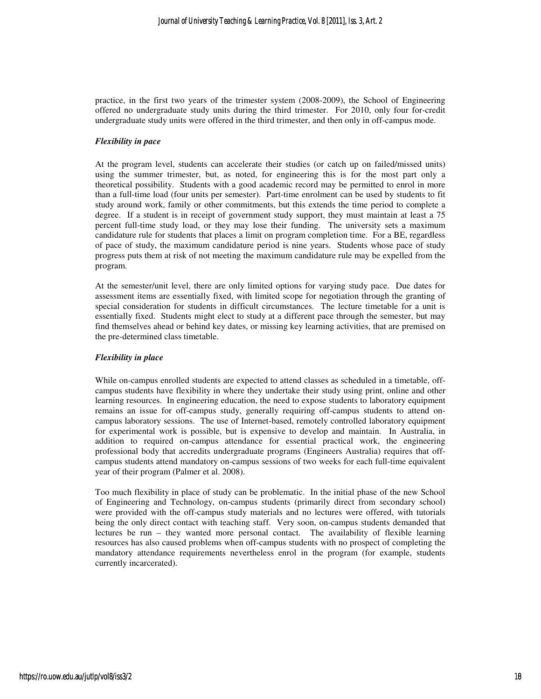practice, in the first two years of the trimester system (2008-2009), the School of Engineering offered no undergraduate study units during the third trimester. For 2010, only four for-credit undergraduate study units were offered in the third trimester, and then only in off-campus mode.

#### *Flexibility in pace*

At the program level, students can accelerate their studies (or catch up on failed/missed units) using the summer trimester, but, as noted, for engineering this is for the most part only a theoretical possibility. Students with a good academic record may be permitted to enrol in more than a full-time load (four units per semester). Part-time enrolment can be used by students to fit study around work, family or other commitments, but this extends the time period to complete a degree. If a student is in receipt of government study support, they must maintain at least a 75 percent full-time study load, or they may lose their funding. The university sets a maximum candidature rule for students that places a limit on program completion time. For a BE, regardless of pace of study, the maximum candidature period is nine years. Students whose pace of study progress puts them at risk of not meeting the maximum candidature rule may be expelled from the program.

At the semester/unit level, there are only limited options for varying study pace. Due dates for assessment items are essentially fixed, with limited scope for negotiation through the granting of special consideration for students in difficult circumstances. The lecture timetable for a unit is essentially fixed. Students might elect to study at a different pace through the semester, but may find themselves ahead or behind key dates, or missing key learning activities, that are premised on the pre-determined class timetable.

#### *Flexibility in place*

While on-campus enrolled students are expected to attend classes as scheduled in a timetable, offcampus students have flexibility in where they undertake their study using print, online and other learning resources. In engineering education, the need to expose students to laboratory equipment remains an issue for off-campus study, generally requiring off-campus students to attend oncampus laboratory sessions. The use of Internet-based, remotely controlled laboratory equipment for experimental work is possible, but is expensive to develop and maintain. In Australia, in addition to required on-campus attendance for essential practical work, the engineering professional body that accredits undergraduate programs (Engineers Australia) requires that offcampus students attend mandatory on-campus sessions of two weeks for each full-time equivalent year of their program (Palmer et al. 2008).

Too much flexibility in place of study can be problematic. In the initial phase of the new School of Engineering and Technology, on-campus students (primarily direct from secondary school) were provided with the off-campus study materials and no lectures were offered, with tutorials being the only direct contact with teaching staff. Very soon, on-campus students demanded that lectures be run – they wanted more personal contact. The availability of flexible learning resources has also caused problems when off-campus students with no prospect of completing the mandatory attendance requirements nevertheless enrol in the program (for example, students currently incarcerated).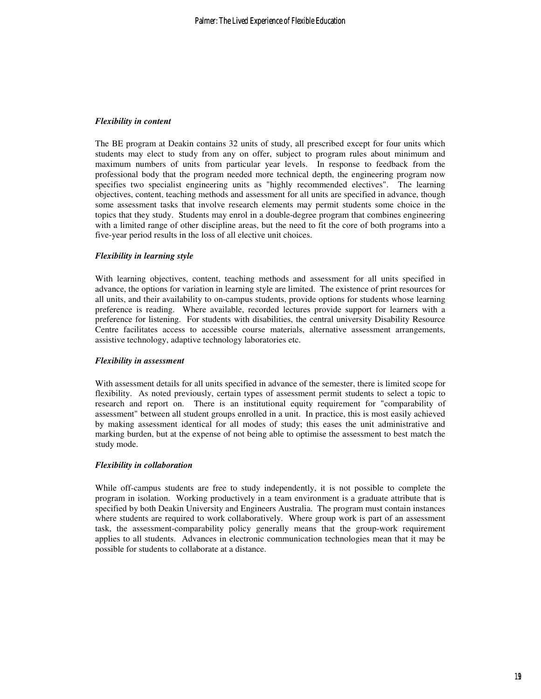#### *Flexibility in content*

The BE program at Deakin contains 32 units of study, all prescribed except for four units which students may elect to study from any on offer, subject to program rules about minimum and maximum numbers of units from particular year levels. In response to feedback from the professional body that the program needed more technical depth, the engineering program now specifies two specialist engineering units as "highly recommended electives". The learning objectives, content, teaching methods and assessment for all units are specified in advance, though some assessment tasks that involve research elements may permit students some choice in the topics that they study. Students may enrol in a double-degree program that combines engineering with a limited range of other discipline areas, but the need to fit the core of both programs into a five-year period results in the loss of all elective unit choices.

#### *Flexibility in learning style*

With learning objectives, content, teaching methods and assessment for all units specified in advance, the options for variation in learning style are limited. The existence of print resources for all units, and their availability to on-campus students, provide options for students whose learning preference is reading. Where available, recorded lectures provide support for learners with a preference for listening. For students with disabilities, the central university Disability Resource Centre facilitates access to accessible course materials, alternative assessment arrangements, assistive technology, adaptive technology laboratories etc.

#### *Flexibility in assessment*

With assessment details for all units specified in advance of the semester, there is limited scope for flexibility. As noted previously, certain types of assessment permit students to select a topic to research and report on. There is an institutional equity requirement for "comparability of assessment" between all student groups enrolled in a unit. In practice, this is most easily achieved by making assessment identical for all modes of study; this eases the unit administrative and marking burden, but at the expense of not being able to optimise the assessment to best match the study mode.

#### *Flexibility in collaboration*

While off-campus students are free to study independently, it is not possible to complete the program in isolation. Working productively in a team environment is a graduate attribute that is specified by both Deakin University and Engineers Australia. The program must contain instances where students are required to work collaboratively. Where group work is part of an assessment task, the assessment-comparability policy generally means that the group-work requirement applies to all students. Advances in electronic communication technologies mean that it may be possible for students to collaborate at a distance.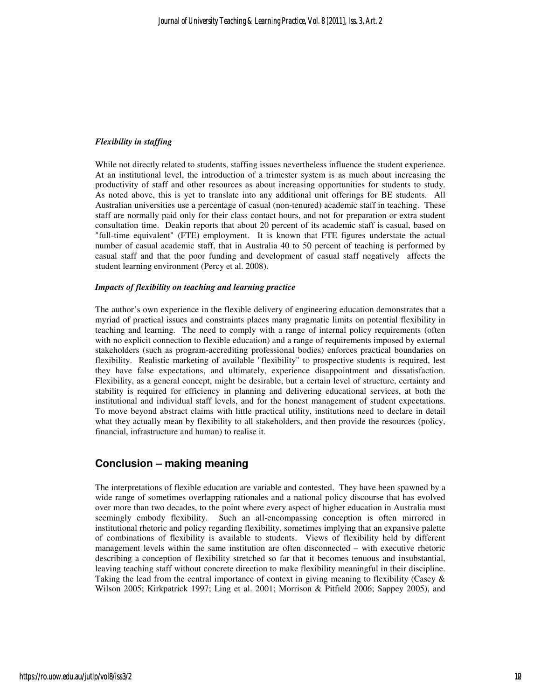#### *Flexibility in staffing*

While not directly related to students, staffing issues nevertheless influence the student experience. At an institutional level, the introduction of a trimester system is as much about increasing the productivity of staff and other resources as about increasing opportunities for students to study. As noted above, this is yet to translate into any additional unit offerings for BE students. All Australian universities use a percentage of casual (non-tenured) academic staff in teaching. These staff are normally paid only for their class contact hours, and not for preparation or extra student consultation time. Deakin reports that about 20 percent of its academic staff is casual, based on "full-time equivalent" (FTE) employment. It is known that FTE figures understate the actual number of casual academic staff, that in Australia 40 to 50 percent of teaching is performed by casual staff and that the poor funding and development of casual staff negatively affects the student learning environment (Percy et al. 2008).

#### *Impacts of flexibility on teaching and learning practice*

The author's own experience in the flexible delivery of engineering education demonstrates that a myriad of practical issues and constraints places many pragmatic limits on potential flexibility in teaching and learning. The need to comply with a range of internal policy requirements (often with no explicit connection to flexible education) and a range of requirements imposed by external stakeholders (such as program-accrediting professional bodies) enforces practical boundaries on flexibility. Realistic marketing of available "flexibility" to prospective students is required, lest they have false expectations, and ultimately, experience disappointment and dissatisfaction. Flexibility, as a general concept, might be desirable, but a certain level of structure, certainty and stability is required for efficiency in planning and delivering educational services, at both the institutional and individual staff levels, and for the honest management of student expectations. To move beyond abstract claims with little practical utility, institutions need to declare in detail what they actually mean by flexibility to all stakeholders, and then provide the resources (policy, financial, infrastructure and human) to realise it.

## **Conclusion – making meaning**

The interpretations of flexible education are variable and contested. They have been spawned by a wide range of sometimes overlapping rationales and a national policy discourse that has evolved over more than two decades, to the point where every aspect of higher education in Australia must seemingly embody flexibility. Such an all-encompassing conception is often mirrored in institutional rhetoric and policy regarding flexibility, sometimes implying that an expansive palette of combinations of flexibility is available to students. Views of flexibility held by different management levels within the same institution are often disconnected – with executive rhetoric describing a conception of flexibility stretched so far that it becomes tenuous and insubstantial, leaving teaching staff without concrete direction to make flexibility meaningful in their discipline. Taking the lead from the central importance of context in giving meaning to flexibility (Casey  $\&$ Wilson 2005; Kirkpatrick 1997; Ling et al. 2001; Morrison & Pitfield 2006; Sappey 2005), and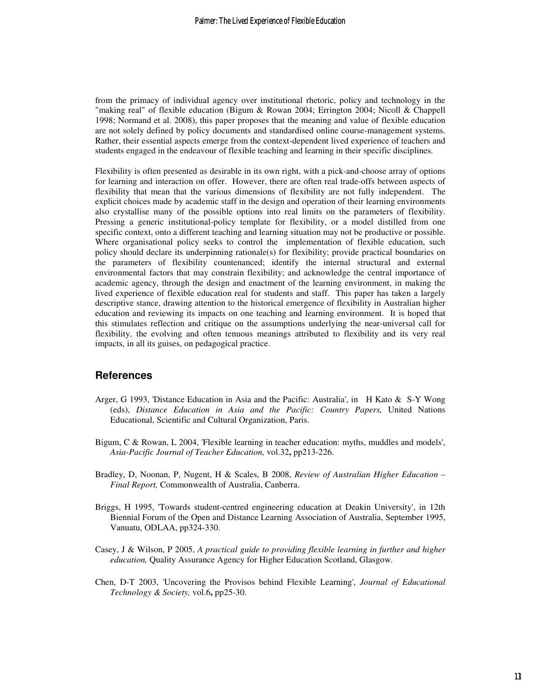from the primacy of individual agency over institutional rhetoric, policy and technology in the "making real" of flexible education (Bigum & Rowan 2004; Errington 2004; Nicoll & Chappell 1998; Normand et al. 2008), this paper proposes that the meaning and value of flexible education are not solely defined by policy documents and standardised online course-management systems. Rather, their essential aspects emerge from the context-dependent lived experience of teachers and students engaged in the endeavour of flexible teaching and learning in their specific disciplines.

Flexibility is often presented as desirable in its own right, with a pick-and-choose array of options for learning and interaction on offer. However, there are often real trade-offs between aspects of flexibility that mean that the various dimensions of flexibility are not fully independent. The explicit choices made by academic staff in the design and operation of their learning environments also crystallise many of the possible options into real limits on the parameters of flexibility. Pressing a generic institutional-policy template for flexibility, or a model distilled from one specific context, onto a different teaching and learning situation may not be productive or possible. Where organisational policy seeks to control the implementation of flexible education, such policy should declare its underpinning rationale(s) for flexibility; provide practical boundaries on the parameters of flexibility countenanced; identify the internal structural and external environmental factors that may constrain flexibility; and acknowledge the central importance of academic agency, through the design and enactment of the learning environment, in making the lived experience of flexible education real for students and staff. This paper has taken a largely descriptive stance, drawing attention to the historical emergence of flexibility in Australian higher education and reviewing its impacts on one teaching and learning environment. It is hoped that this stimulates reflection and critique on the assumptions underlying the near-universal call for flexibility, the evolving and often tenuous meanings attributed to flexibility and its very real impacts, in all its guises, on pedagogical practice.

### **References**

- Arger, G 1993, 'Distance Education in Asia and the Pacific: Australia', in H Kato & S-Y Wong (eds), *Distance Education in Asia and the Pacific: Country Papers,* United Nations Educational, Scientific and Cultural Organization, Paris.
- Bigum, C & Rowan, L 2004, 'Flexible learning in teacher education: myths, muddles and models', *Asia-Pacific Journal of Teacher Education,* vol.32**,** pp213-226.
- Bradley, D, Noonan, P, Nugent, H & Scales, B 2008, *Review of Australian Higher Education Final Report,* Commonwealth of Australia, Canberra.
- Briggs, H 1995, 'Towards student-centred engineering education at Deakin University', in 12th Biennial Forum of the Open and Distance Learning Association of Australia, September 1995, Vanuatu, ODLAA, pp324-330.
- Casey, J & Wilson, P 2005, *A practical guide to providing flexible learning in further and higher education,* Quality Assurance Agency for Higher Education Scotland, Glasgow.
- Chen, D-T 2003, 'Uncovering the Provisos behind Flexible Learning', *Journal of Educational Technology & Society,* vol.6**,** pp25-30.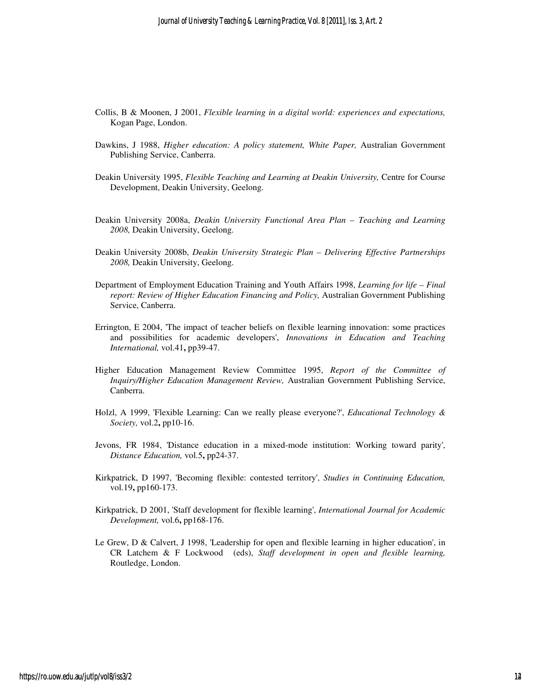- Collis, B & Moonen, J 2001, *Flexible learning in a digital world: experiences and expectations,*  Kogan Page, London.
- Dawkins, J 1988, *Higher education: A policy statement, White Paper,* Australian Government Publishing Service, Canberra.
- Deakin University 1995, *Flexible Teaching and Learning at Deakin University,* Centre for Course Development, Deakin University, Geelong.
- Deakin University 2008a, *Deakin University Functional Area Plan Teaching and Learning 2008,* Deakin University, Geelong.
- Deakin University 2008b, *Deakin University Strategic Plan Delivering Effective Partnerships 2008,* Deakin University, Geelong.
- Department of Employment Education Training and Youth Affairs 1998, *Learning for life Final report: Review of Higher Education Financing and Policy,* Australian Government Publishing Service, Canberra.
- Errington, E 2004, 'The impact of teacher beliefs on flexible learning innovation: some practices and possibilities for academic developers', *Innovations in Education and Teaching International,* vol.41**,** pp39-47.
- Higher Education Management Review Committee 1995, *Report of the Committee of Inquiry/Higher Education Management Review,* Australian Government Publishing Service, Canberra.
- Holzl, A 1999, 'Flexible Learning: Can we really please everyone?', *Educational Technology & Society,* vol.2**,** pp10-16.
- Jevons, FR 1984, 'Distance education in a mixed-mode institution: Working toward parity', *Distance Education,* vol.5**,** pp24-37.
- Kirkpatrick, D 1997, 'Becoming flexible: contested territory', *Studies in Continuing Education,* vol.19**,** pp160-173.
- Kirkpatrick, D 2001, 'Staff development for flexible learning', *International Journal for Academic Development,* vol.6**,** pp168-176.
- Le Grew, D & Calvert, J 1998, 'Leadership for open and flexible learning in higher education', in CR Latchem & F Lockwood (eds), *Staff development in open and flexible learning,* Routledge, London.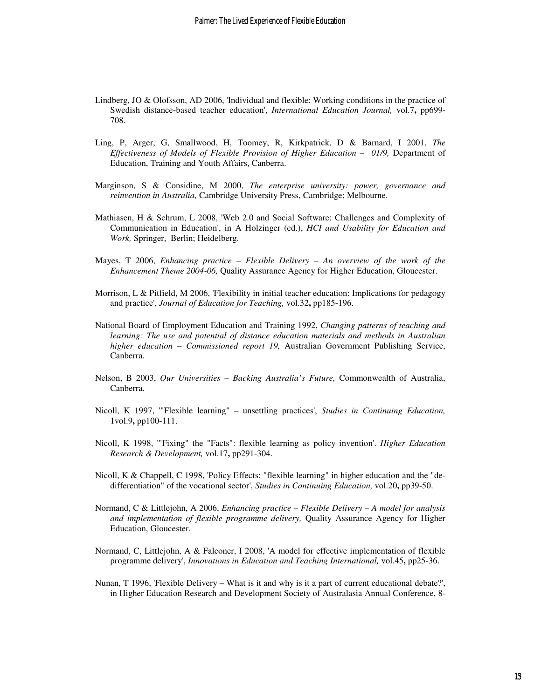- Lindberg, JO & Olofsson, AD 2006, 'Individual and flexible: Working conditions in the practice of Swedish distance-based teacher education', *International Education Journal,* vol.7**,** pp699- 708.
- Ling, P, Arger, G, Smallwood, H, Toomey, R, Kirkpatrick, D & Barnard, I 2001, *The Effectiveness of Models of Flexible Provision of Higher Education – 01/9, Department of* Education, Training and Youth Affairs, Canberra.
- Marginson, S & Considine, M 2000, *The enterprise university: power, governance and reinvention in Australia,* Cambridge University Press, Cambridge; Melbourne.
- Mathiasen, H & Schrum, L 2008, 'Web 2.0 and Social Software: Challenges and Complexity of Communication in Education', in A Holzinger (ed.), *HCI and Usability for Education and Work,* Springer, Berlin; Heidelberg.
- Mayes, T 2006, *Enhancing practice Flexible Delivery An overview of the work of the Enhancement Theme 2004-06,* Quality Assurance Agency for Higher Education, Gloucester.
- Morrison, L & Pitfield, M 2006, 'Flexibility in initial teacher education: Implications for pedagogy and practice', *Journal of Education for Teaching,* vol.32**,** pp185-196.
- National Board of Employment Education and Training 1992, *Changing patterns of teaching and learning: The use and potential of distance education materials and methods in Australian higher education – Commissioned report 19,* Australian Government Publishing Service, Canberra.
- Nelson, B 2003, *Our Universities Backing Australia's Future,* Commonwealth of Australia, Canberra.
- Nicoll, K 1997, '"Flexible learning" unsettling practices', *Studies in Continuing Education,* 1vol.9**,** pp100-111.
- Nicoll, K 1998, '"Fixing" the "Facts": flexible learning as policy invention'. *Higher Education Research & Development,* vol.17**,** pp291-304.
- Nicoll, K & Chappell, C 1998, 'Policy Effects: "flexible learning" in higher education and the "dedifferentiation" of the vocational sector', *Studies in Continuing Education,* vol.20**,** pp39-50.
- Normand, C & Littlejohn, A 2006, *Enhancing practice Flexible Delivery A model for analysis and implementation of flexible programme delivery,* Quality Assurance Agency for Higher Education, Gloucester.
- Normand, C, Littlejohn, A & Falconer, I 2008, 'A model for effective implementation of flexible programme delivery', *Innovations in Education and Teaching International,* vol.45**,** pp25-36.
- Nunan, T 1996, 'Flexible Delivery What is it and why is it a part of current educational debate?', in Higher Education Research and Development Society of Australasia Annual Conference, 8-